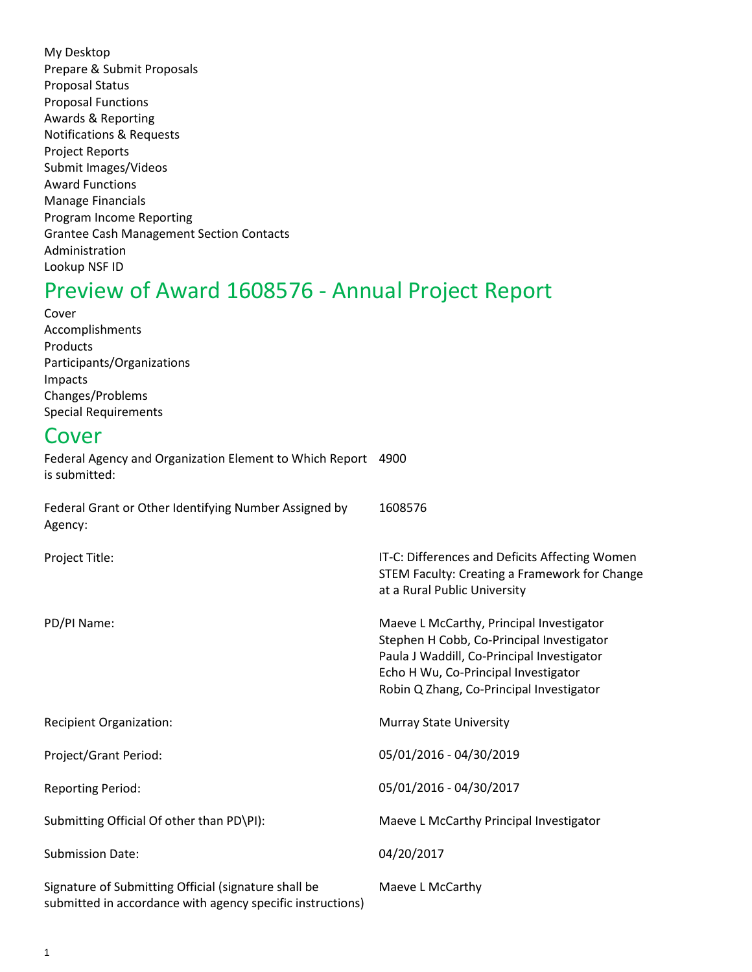My Desktop Prepare & Submit Proposals Proposal Status Proposal Functions Awards & Reporting Notifications & Requests Project Reports Submit Images/Videos Award Functions Manage Financials Program Income Reporting Grantee Cash Management Section Contacts Administration Lookup NSF ID

# Preview of Award 1608576 - Annual Project Report

Cover Accomplishments Products Participants/Organizations Impacts Changes/Problems Special Requirements

# Cover

Federal Agency and Organization Element to Which Report 4900 is submitted:

Federal Grant or Other Identifying Number Assigned by Agency: Project Title: PD/PI Name: Recipient Organization: Project/Grant Period: Reporting Period: Submitting Official Of other than PD\PI): Submission Date: Signature of Submitting Official (signature shall be submitted in accordance with agency specific instructions) 1608576 IT-C: Differences and Deficits Affecting Women STEM Faculty: Creating a Framework for Change at a Rural Public University Maeve L McCarthy, Principal Investigator Stephen H Cobb, Co-Principal Investigator Paula J Waddill, Co-Principal Investigator Echo H Wu, Co-Principal Investigator Robin Q Zhang, Co-Principal Investigator Murray State University 05/01/2016 - 04/30/2019 05/01/2016 - 04/30/2017 Maeve L McCarthy Principal Investigator 04/20/2017 Maeve L McCarthy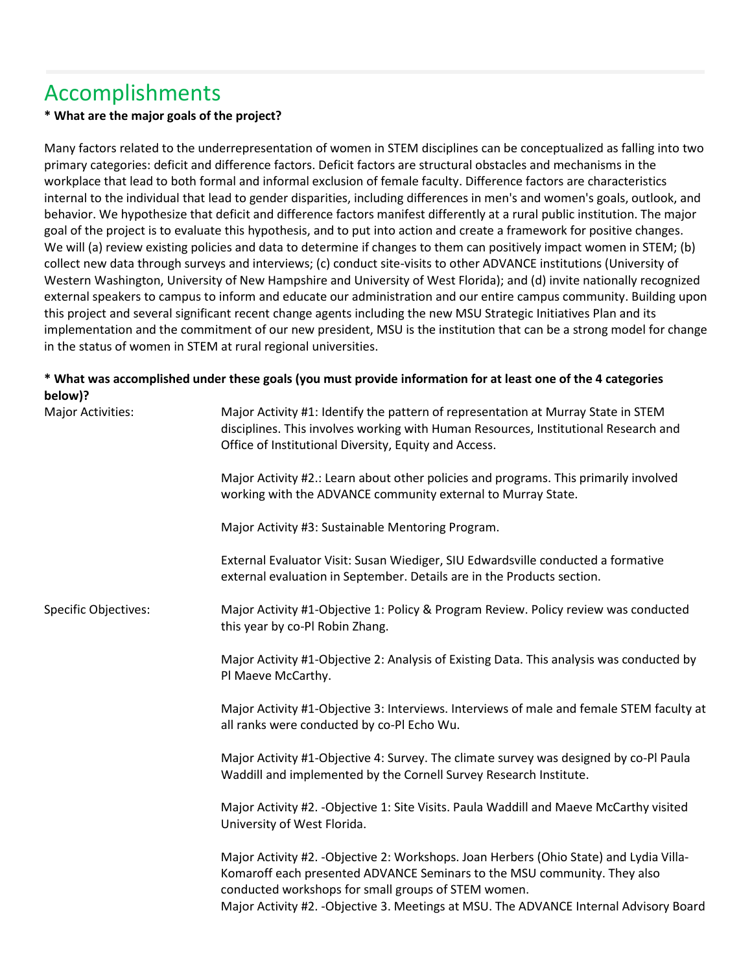# Accomplishments

## **\* What are the major goals of the project?**

Many factors related to the underrepresentation of women in STEM disciplines can be conceptualized as falling into two primary categories: deficit and difference factors. Deficit factors are structural obstacles and mechanisms in the workplace that lead to both formal and informal exclusion of female faculty. Difference factors are characteristics internal to the individual that lead to gender disparities, including differences in men's and women's goals, outlook, and behavior. We hypothesize that deficit and difference factors manifest differently at a rural public institution. The major goal of the project is to evaluate this hypothesis, and to put into action and create a framework for positive changes. We will (a) review existing policies and data to determine if changes to them can positively impact women in STEM; (b) collect new data through surveys and interviews; (c) conduct site-visits to other ADVANCE institutions (University of Western Washington, University of New Hampshire and University of West Florida); and (d) invite nationally recognized external speakers to campus to inform and educate our administration and our entire campus community. Building upon this project and several significant recent change agents including the new MSU Strategic Initiatives Plan and its implementation and the commitment of our new president, MSU is the institution that can be a strong model for change in the status of women in STEM at rural regional universities.

## **\* What was accomplished under these goals (you must provide information for at least one of the 4 categories below)?**

| Major Activities:           | Major Activity #1: Identify the pattern of representation at Murray State in STEM<br>disciplines. This involves working with Human Resources, Institutional Research and<br>Office of Institutional Diversity, Equity and Access.                                                                                    |  |  |
|-----------------------------|----------------------------------------------------------------------------------------------------------------------------------------------------------------------------------------------------------------------------------------------------------------------------------------------------------------------|--|--|
|                             | Major Activity #2.: Learn about other policies and programs. This primarily involved<br>working with the ADVANCE community external to Murray State.                                                                                                                                                                 |  |  |
|                             | Major Activity #3: Sustainable Mentoring Program.                                                                                                                                                                                                                                                                    |  |  |
|                             | External Evaluator Visit: Susan Wiediger, SIU Edwardsville conducted a formative<br>external evaluation in September. Details are in the Products section.                                                                                                                                                           |  |  |
| <b>Specific Objectives:</b> | Major Activity #1-Objective 1: Policy & Program Review. Policy review was conducted<br>this year by co-Pl Robin Zhang.                                                                                                                                                                                               |  |  |
|                             | Major Activity #1-Objective 2: Analysis of Existing Data. This analysis was conducted by<br>Pl Maeve McCarthy.                                                                                                                                                                                                       |  |  |
|                             | Major Activity #1-Objective 3: Interviews. Interviews of male and female STEM faculty at<br>all ranks were conducted by co-PI Echo Wu.                                                                                                                                                                               |  |  |
|                             | Major Activity #1-Objective 4: Survey. The climate survey was designed by co-Pl Paula<br>Waddill and implemented by the Cornell Survey Research Institute.                                                                                                                                                           |  |  |
|                             | Major Activity #2. - Objective 1: Site Visits. Paula Waddill and Maeve McCarthy visited<br>University of West Florida.                                                                                                                                                                                               |  |  |
|                             | Major Activity #2. - Objective 2: Workshops. Joan Herbers (Ohio State) and Lydia Villa-<br>Komaroff each presented ADVANCE Seminars to the MSU community. They also<br>conducted workshops for small groups of STEM women.<br>Major Activity #2. - Objective 3. Meetings at MSU. The ADVANCE Internal Advisory Board |  |  |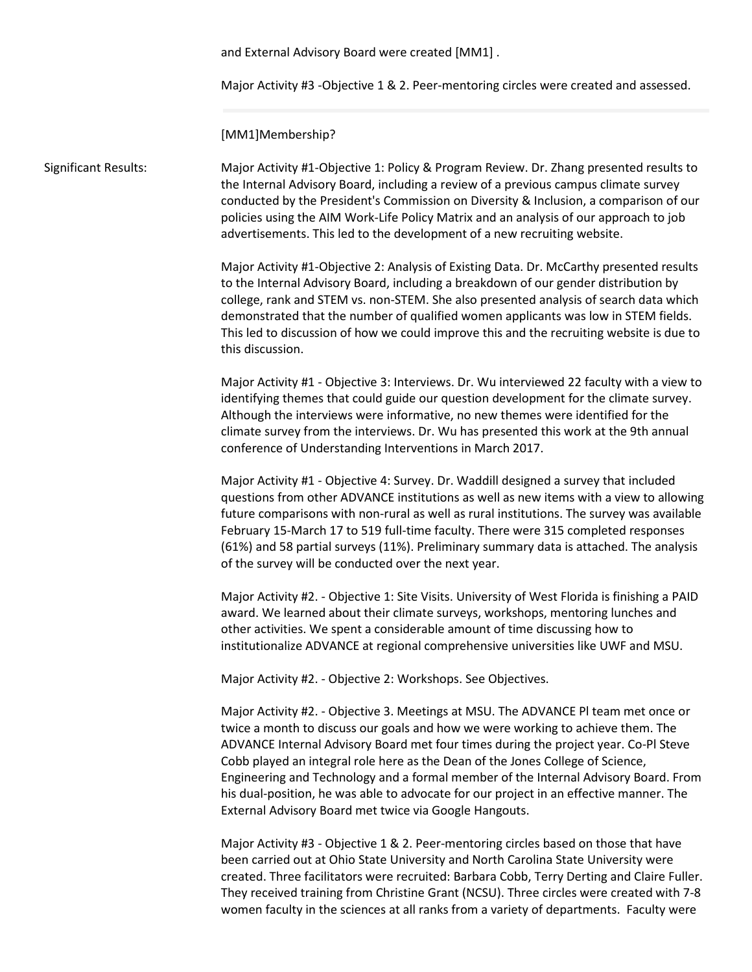and External Advisory Board were created [MM1] .

Major Activity #3 -Objective 1 & 2. Peer-mentoring circles were created and assessed.

[MM1]Membership?

Significant Results: Major Activity #1-Objective 1: Policy & Program Review. Dr. Zhang presented results to the Internal Advisory Board, including a review of a previous campus climate survey conducted by the President's Commission on Diversity & Inclusion, a comparison of our policies using the AIM Work-Life Policy Matrix and an analysis of our approach to job advertisements. This led to the development of a new recruiting website.

> Major Activity #1-Objective 2: Analysis of Existing Data. Dr. McCarthy presented results to the Internal Advisory Board, including a breakdown of our gender distribution by college, rank and STEM vs. non-STEM. She also presented analysis of search data which demonstrated that the number of qualified women applicants was low in STEM fields. This led to discussion of how we could improve this and the recruiting website is due to this discussion.

> Major Activity #1 - Objective 3: Interviews. Dr. Wu interviewed 22 faculty with a view to identifying themes that could guide our question development for the climate survey. Although the interviews were informative, no new themes were identified for the climate survey from the interviews. Dr. Wu has presented this work at the 9th annual conference of Understanding Interventions in March 2017.

> Major Activity #1 - Objective 4: Survey. Dr. Waddill designed a survey that included questions from other ADVANCE institutions as well as new items with a view to allowing future comparisons with non-rural as well as rural institutions. The survey was available February 15-March 17 to 519 full-time faculty. There were 315 completed responses (61%) and 58 partial surveys (11%). Preliminary summary data is attached. The analysis of the survey will be conducted over the next year.

Major Activity #2. - Objective 1: Site Visits. University of West Florida is finishing a PAID award. We learned about their climate surveys, workshops, mentoring lunches and other activities. We spent a considerable amount of time discussing how to institutionalize ADVANCE at regional comprehensive universities like UWF and MSU.

Major Activity #2. - Objective 2: Workshops. See Objectives.

Major Activity #2. - Objective 3. Meetings at MSU. The ADVANCE Pl team met once or twice a month to discuss our goals and how we were working to achieve them. The ADVANCE Internal Advisory Board met four times during the project year. Co-Pl Steve Cobb played an integral role here as the Dean of the Jones College of Science, Engineering and Technology and a formal member of the Internal Advisory Board. From his dual-position, he was able to advocate for our project in an effective manner. The External Advisory Board met twice via Google Hangouts.

Major Activity #3 - Objective 1 & 2. Peer-mentoring circles based on those that have been carried out at Ohio State University and North Carolina State University were created. Three facilitators were recruited: Barbara Cobb, Terry Derting and Claire Fuller. They received training from Christine Grant (NCSU). Three circles were created with 7-8 women faculty in the sciences at all ranks from a variety of departments. Faculty were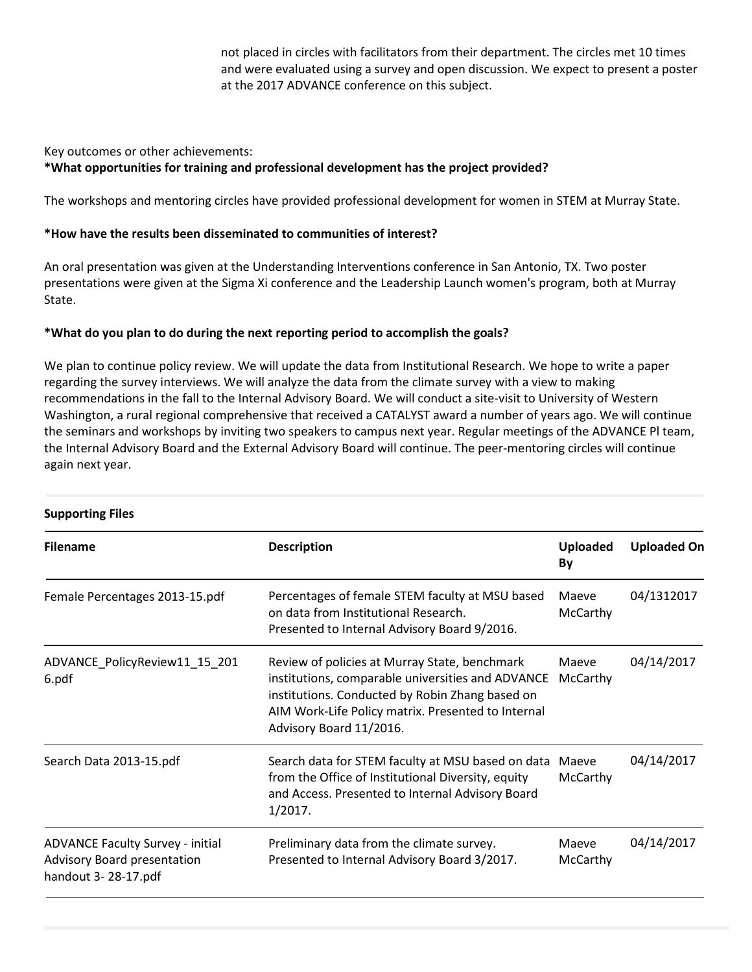not placed in circles with facilitators from their department. The circles met 10 times and were evaluated using a survey and open discussion. We expect to present a poster at the 2017 ADVANCE conference on this subject.

#### Key outcomes or other achievements:

### **\*What opportunities for training and professional development has the project provided?**

The workshops and mentoring circles have provided professional development for women in STEM at Murray State.

#### **\*How have the results been disseminated to communities of interest?**

An oral presentation was given at the Understanding Interventions conference in San Antonio, TX. Two poster presentations were given at the Sigma Xi conference and the Leadership Launch women's program, both at Murray State.

#### **\*What do you plan to do during the next reporting period to accomplish the goals?**

We plan to continue policy review. We will update the data from Institutional Research. We hope to write a paper regarding the survey interviews. We will analyze the data from the climate survey with a view to making recommendations in the fall to the Internal Advisory Board. We will conduct a site-visit to University of Western Washington, a rural regional comprehensive that received a CATALYST award a number of years ago. We will continue the seminars and workshops by inviting two speakers to campus next year. Regular meetings of the ADVANCE Pl team, the Internal Advisory Board and the External Advisory Board will continue. The peer-mentoring circles will continue again next year.

| <b>Filename</b>                                                                               | <b>Description</b>                                                                                                                                                                                                                     | <b>Uploaded</b><br>By | <b>Uploaded On</b> |
|-----------------------------------------------------------------------------------------------|----------------------------------------------------------------------------------------------------------------------------------------------------------------------------------------------------------------------------------------|-----------------------|--------------------|
| Female Percentages 2013-15.pdf                                                                | Percentages of female STEM faculty at MSU based<br>on data from Institutional Research.<br>Presented to Internal Advisory Board 9/2016.                                                                                                | Maeve<br>McCarthy     | 04/1312017         |
| ADVANCE_PolicyReview11_15_201<br>6.pdf                                                        | Review of policies at Murray State, benchmark<br>institutions, comparable universities and ADVANCE<br>institutions. Conducted by Robin Zhang based on<br>AIM Work-Life Policy matrix. Presented to Internal<br>Advisory Board 11/2016. | Maeve<br>McCarthy     | 04/14/2017         |
| Search Data 2013-15.pdf                                                                       | Search data for STEM faculty at MSU based on data Maeve<br>from the Office of Institutional Diversity, equity<br>and Access. Presented to Internal Advisory Board<br>1/2017.                                                           | McCarthy              | 04/14/2017         |
| <b>ADVANCE Faculty Survey - initial</b><br>Advisory Board presentation<br>handout 3-28-17.pdf | Preliminary data from the climate survey.<br>Presented to Internal Advisory Board 3/2017.                                                                                                                                              | Maeve<br>McCarthy     | 04/14/2017         |

#### **Supporting Files**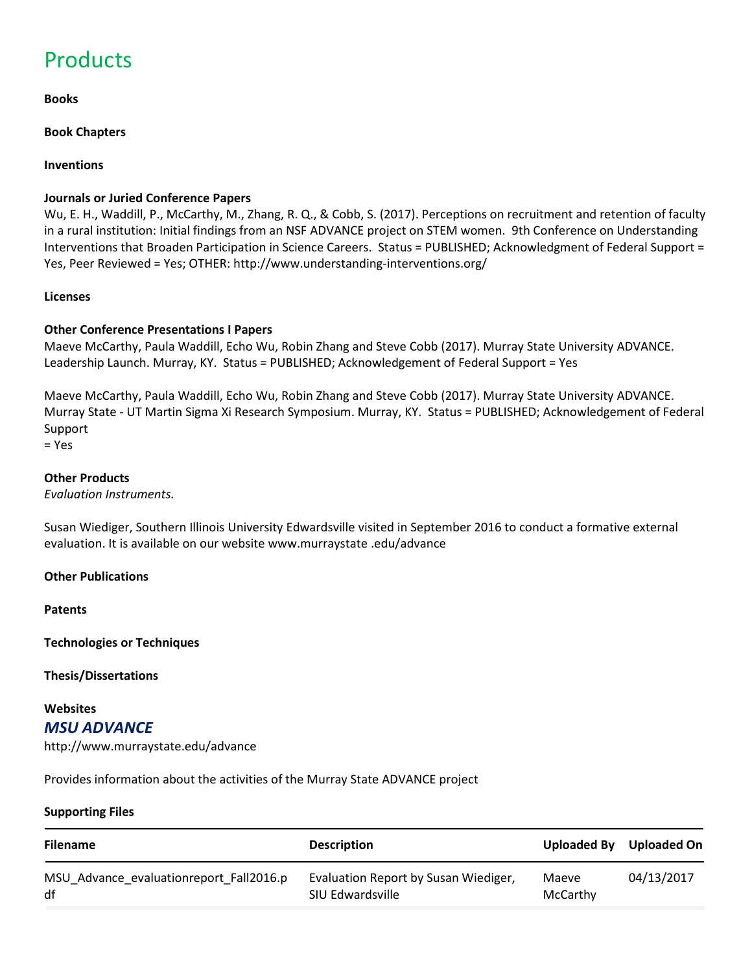# **Products**

#### **Books**

**Book Chapters** 

### **Inventions**

#### **Journals or Juried Conference Papers**

Wu, E. H., Waddill, P., McCarthy, M., Zhang, R. Q., & Cobb, S. (2017). Perceptions on recruitment and retention of faculty in a rural institution: Initial findings from an NSF ADVANCE project on STEM women. 9th Conference on Understanding Interventions that Broaden Participation in Science Careers. Status = PUBLISHED; Acknowledgment of Federal Support = Yes, Peer Reviewed = Yes; OTHER: http://www.understanding-interventions.org/

#### **Licenses**

### **Other Conference Presentations I Papers**

Maeve McCarthy, Paula Waddill, Echo Wu, Robin Zhang and Steve Cobb (2017). Murray State University ADVANCE. Leadership Launch. Murray, KY. Status = PUBLISHED; Acknowledgement of Federal Support = Yes

Maeve McCarthy, Paula Waddill, Echo Wu, Robin Zhang and Steve Cobb (2017). Murray State University ADVANCE. Murray State - UT Martin Sigma Xi Research Symposium. Murray, KY. Status = PUBLISHED; Acknowledgement of Federal Support

= Yes

#### **Other Products**

*Evaluation Instruments.*

Susan Wiediger, Southern Illinois University Edwardsville visited in September 2016 to conduct a formative external evaluation. It is available on our website www.murraystate .edu/advance

#### **Other Publications**

**Patents**

**Technologies or Techniques**

**Thesis/Dissertations**

#### **Websites** *MSU ADVANCE*

http://www.murraystate.edu/advance

Provides information about the activities of the Murray State ADVANCE project

#### **Supporting Files**

| <b>Filename</b>                         | <b>Description</b>                   | Uploaded By | Uploaded On |
|-----------------------------------------|--------------------------------------|-------------|-------------|
| MSU Advance evaluationreport Fall2016.p | Evaluation Report by Susan Wiediger, | Maeve       | 04/13/2017  |
| df                                      | SIU Edwardsville                     | McCarthy    |             |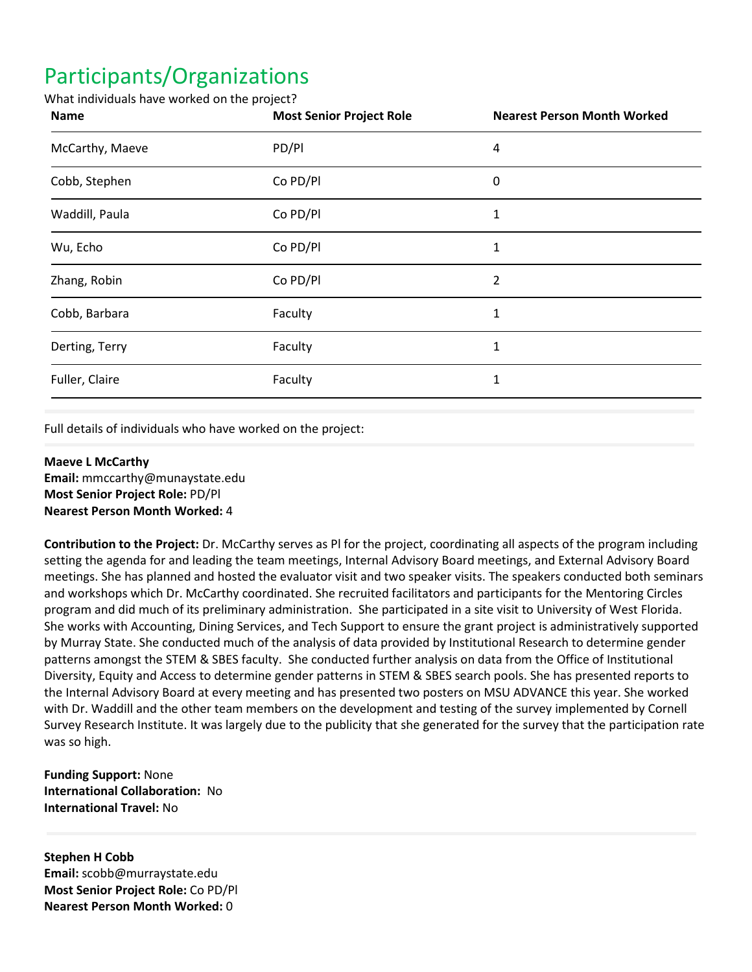# Participants/Organizations

#### What individuals have worked on the project?

| <b>Name</b>     | <b>Most Senior Project Role</b> | <b>Nearest Person Month Worked</b> |
|-----------------|---------------------------------|------------------------------------|
| McCarthy, Maeve | PD/Pl                           | 4                                  |
| Cobb, Stephen   | Co PD/Pl                        | 0                                  |
| Waddill, Paula  | Co PD/Pl                        | 1                                  |
| Wu, Echo        | Co PD/Pl                        | 1                                  |
| Zhang, Robin    | Co PD/Pl                        | $\overline{2}$                     |
| Cobb, Barbara   | Faculty                         | 1                                  |
| Derting, Terry  | Faculty                         | 1                                  |
| Fuller, Claire  | Faculty                         | 1                                  |

Full details of individuals who have worked on the project:

#### **Maeve L McCarthy**

**Email:** mmccarthy@munaystate.edu **Most Senior Project Role:** PD/Pl **Nearest Person Month Worked:** 4

**Contribution to the Project:** Dr. McCarthy serves as Pl for the project, coordinating all aspects of the program including setting the agenda for and leading the team meetings, Internal Advisory Board meetings, and External Advisory Board meetings. She has planned and hosted the evaluator visit and two speaker visits. The speakers conducted both seminars and workshops which Dr. McCarthy coordinated. She recruited facilitators and participants for the Mentoring Circles program and did much of its preliminary administration. She participated in a site visit to University of West Florida. She works with Accounting, Dining Services, and Tech Support to ensure the grant project is administratively supported by Murray State. She conducted much of the analysis of data provided by Institutional Research to determine gender patterns amongst the STEM & SBES faculty. She conducted further analysis on data from the Office of Institutional Diversity, Equity and Access to determine gender patterns in STEM & SBES search pools. She has presented reports to the Internal Advisory Board at every meeting and has presented two posters on MSU ADVANCE this year. She worked with Dr. Waddill and the other team members on the development and testing of the survey implemented by Cornell Survey Research Institute. It was largely due to the publicity that she generated for the survey that the participation rate was so high.

**Funding Support:** None **International Collaboration:** No **International Travel:** No

**Stephen H Cobb Email:** scobb@murraystate.edu **Most Senior Project Role:** Co PD/Pl **Nearest Person Month Worked:** 0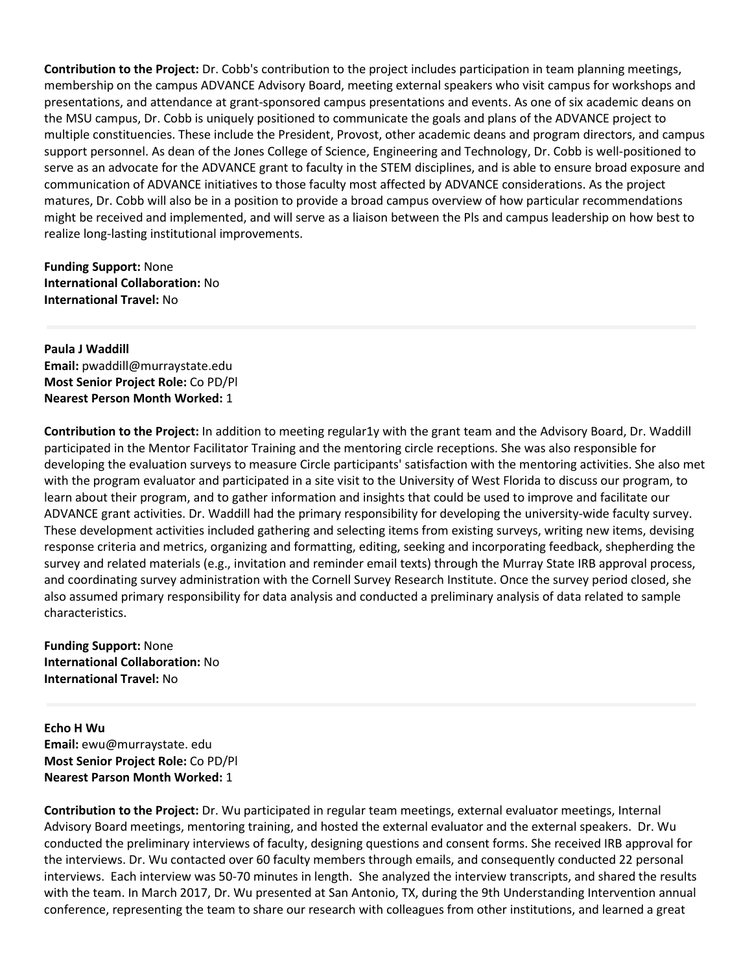**Contribution to the Project:** Dr. Cobb's contribution to the project includes participation in team planning meetings, membership on the campus ADVANCE Advisory Board, meeting external speakers who visit campus for workshops and presentations, and attendance at grant-sponsored campus presentations and events. As one of six academic deans on the MSU campus, Dr. Cobb is uniquely positioned to communicate the goals and plans of the ADVANCE project to multiple constituencies. These include the President, Provost, other academic deans and program directors, and campus support personnel. As dean of the Jones College of Science, Engineering and Technology, Dr. Cobb is well-positioned to serve as an advocate for the ADVANCE grant to faculty in the STEM disciplines, and is able to ensure broad exposure and communication of ADVANCE initiatives to those faculty most affected by ADVANCE considerations. As the project matures, Dr. Cobb will also be in a position to provide a broad campus overview of how particular recommendations might be received and implemented, and will serve as a liaison between the Pls and campus leadership on how best to realize long-lasting institutional improvements.

**Funding Support:** None **International Collaboration:** No **International Travel:** No

**Paula J Waddill Email:** pwaddill@murraystate.edu **Most Senior Project Role:** Co PD/Pl **Nearest Person Month Worked:** 1

**Contribution to the Project:** In addition to meeting regular1y with the grant team and the Advisory Board, Dr. Waddill participated in the Mentor Facilitator Training and the mentoring circle receptions. She was also responsible for developing the evaluation surveys to measure Circle participants' satisfaction with the mentoring activities. She also met with the program evaluator and participated in a site visit to the University of West Florida to discuss our program, to learn about their program, and to gather information and insights that could be used to improve and facilitate our ADVANCE grant activities. Dr. Waddill had the primary responsibility for developing the university-wide faculty survey. These development activities included gathering and selecting items from existing surveys, writing new items, devising response criteria and metrics, organizing and formatting, editing, seeking and incorporating feedback, shepherding the survey and related materials (e.g., invitation and reminder email texts) through the Murray State IRB approval process, and coordinating survey administration with the Cornell Survey Research Institute. Once the survey period closed, she also assumed primary responsibility for data analysis and conducted a preliminary analysis of data related to sample characteristics.

**Funding Support:** None **International Collaboration:** No **International Travel:** No

**Echo H Wu Email:** ewu@murraystate. edu **Most Senior Project Role:** Co PD/Pl **Nearest Parson Month Worked:** 1

**Contribution to the Project:** Dr. Wu participated in regular team meetings, external evaluator meetings, Internal Advisory Board meetings, mentoring training, and hosted the external evaluator and the external speakers. Dr. Wu conducted the preliminary interviews of faculty, designing questions and consent forms. She received IRB approval for the interviews. Dr. Wu contacted over 60 faculty members through emails, and consequently conducted 22 personal interviews. Each interview was 50-70 minutes in length. She analyzed the interview transcripts, and shared the results with the team. In March 2017, Dr. Wu presented at San Antonio, TX, during the 9th Understanding Intervention annual conference, representing the team to share our research with colleagues from other institutions, and learned a great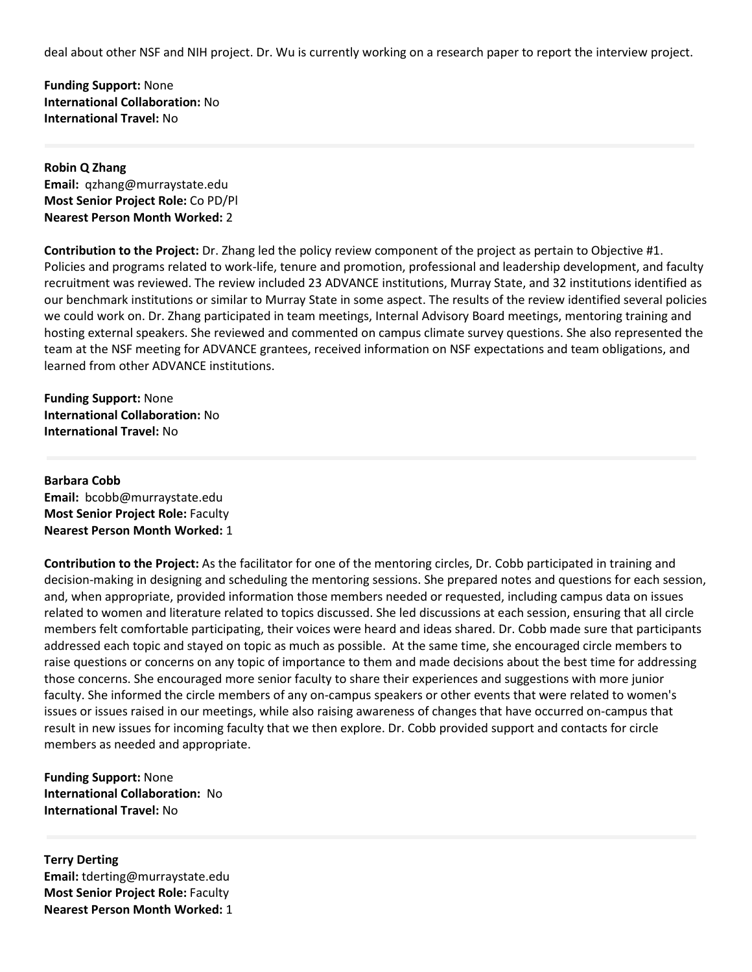deal about other NSF and NIH project. Dr. Wu is currently working on a research paper to report the interview project.

**Funding Support:** None **International Collaboration:** No **International Travel:** No

#### **Robin Q Zhang Email:** qzhang@murraystate.edu **Most Senior Project Role:** Co PD/Pl **Nearest Person Month Worked:** 2

**Contribution to the Project:** Dr. Zhang led the policy review component of the project as pertain to Objective #1. Policies and programs related to work-life, tenure and promotion, professional and leadership development, and faculty recruitment was reviewed. The review included 23 ADVANCE institutions, Murray State, and 32 institutions identified as our benchmark institutions or similar to Murray State in some aspect. The results of the review identified several policies we could work on. Dr. Zhang participated in team meetings, Internal Advisory Board meetings, mentoring training and hosting external speakers. She reviewed and commented on campus climate survey questions. She also represented the team at the NSF meeting for ADVANCE grantees, received information on NSF expectations and team obligations, and learned from other ADVANCE institutions.

**Funding Support:** None **International Collaboration:** No **International Travel:** No

### **Barbara Cobb Email:** bcobb@murraystate.edu **Most Senior Project Role:** Faculty **Nearest Person Month Worked:** 1

**Contribution to the Project:** As the facilitator for one of the mentoring circles, Dr. Cobb participated in training and decision-making in designing and scheduling the mentoring sessions. She prepared notes and questions for each session, and, when appropriate, provided information those members needed or requested, including campus data on issues related to women and literature related to topics discussed. She led discussions at each session, ensuring that all circle members felt comfortable participating, their voices were heard and ideas shared. Dr. Cobb made sure that participants addressed each topic and stayed on topic as much as possible. At the same time, she encouraged circle members to raise questions or concerns on any topic of importance to them and made decisions about the best time for addressing those concerns. She encouraged more senior faculty to share their experiences and suggestions with more junior faculty. She informed the circle members of any on-campus speakers or other events that were related to women's issues or issues raised in our meetings, while also raising awareness of changes that have occurred on-campus that result in new issues for incoming faculty that we then explore. Dr. Cobb provided support and contacts for circle members as needed and appropriate.

**Funding Support:** None **International Collaboration:** No **International Travel:** No

**Terry Derting Email:** tderting@murraystate.edu **Most Senior Project Role:** Faculty **Nearest Person Month Worked:** 1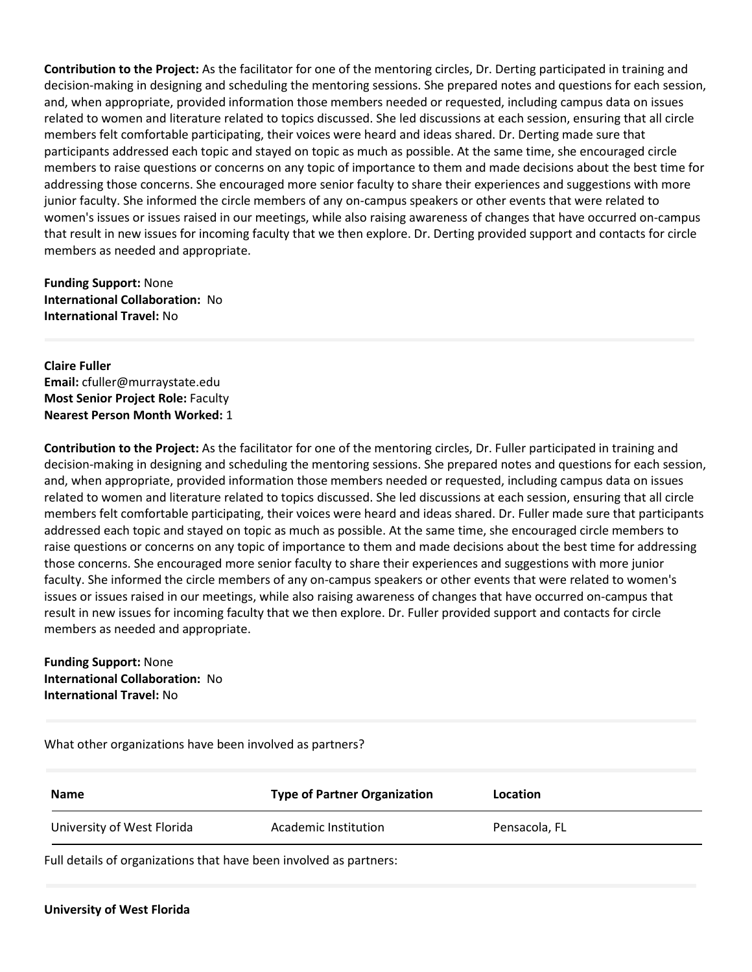**Contribution to the Project:** As the facilitator for one of the mentoring circles, Dr. Derting participated in training and decision-making in designing and scheduling the mentoring sessions. She prepared notes and questions for each session, and, when appropriate, provided information those members needed or requested, including campus data on issues related to women and literature related to topics discussed. She led discussions at each session, ensuring that all circle members felt comfortable participating, their voices were heard and ideas shared. Dr. Derting made sure that participants addressed each topic and stayed on topic as much as possible. At the same time, she encouraged circle members to raise questions or concerns on any topic of importance to them and made decisions about the best time for addressing those concerns. She encouraged more senior faculty to share their experiences and suggestions with more junior faculty. She informed the circle members of any on-campus speakers or other events that were related to women's issues or issues raised in our meetings, while also raising awareness of changes that have occurred on-campus that result in new issues for incoming faculty that we then explore. Dr. Derting provided support and contacts for circle members as needed and appropriate.

**Funding Support:** None **International Collaboration:** No **International Travel:** No

**Claire Fuller Email:** cfuller@murraystate.edu **Most Senior Project Role:** Faculty **Nearest Person Month Worked:** 1

**Contribution to the Project:** As the facilitator for one of the mentoring circles, Dr. Fuller participated in training and decision-making in designing and scheduling the mentoring sessions. She prepared notes and questions for each session, and, when appropriate, provided information those members needed or requested, including campus data on issues related to women and literature related to topics discussed. She led discussions at each session, ensuring that all circle members felt comfortable participating, their voices were heard and ideas shared. Dr. Fuller made sure that participants addressed each topic and stayed on topic as much as possible. At the same time, she encouraged circle members to raise questions or concerns on any topic of importance to them and made decisions about the best time for addressing those concerns. She encouraged more senior faculty to share their experiences and suggestions with more junior faculty. She informed the circle members of any on-campus speakers or other events that were related to women's issues or issues raised in our meetings, while also raising awareness of changes that have occurred on-campus that result in new issues for incoming faculty that we then explore. Dr. Fuller provided support and contacts for circle members as needed and appropriate.

**Funding Support:** None **International Collaboration:** No **International Travel:** No

What other organizations have been involved as partners?

| <b>Name</b>                | <b>Type of Partner Organization</b> | Location      |
|----------------------------|-------------------------------------|---------------|
| University of West Florida | Academic Institution                | Pensacola, FL |

Full details of organizations that have been involved as partners: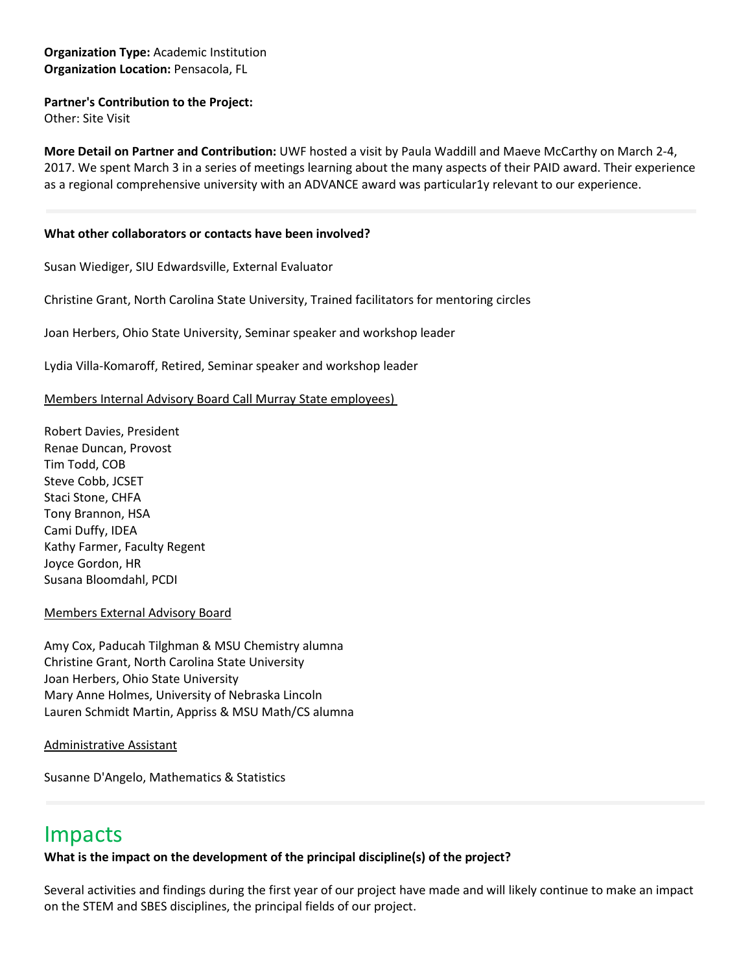### **Organization Type:** Academic Institution **Organization Location:** Pensacola, FL

#### **Partner's Contribution to the Project:**

Other: Site Visit

**More Detail on Partner and Contribution:** UWF hosted a visit by Paula Waddill and Maeve McCarthy on March 2-4, 2017. We spent March 3 in a series of meetings learning about the many aspects of their PAID award. Their experience as a regional comprehensive university with an ADVANCE award was particular1y relevant to our experience.

#### **What other collaborators or contacts have been involved?**

Susan Wiediger, SIU Edwardsville, External Evaluator

Christine Grant, North Carolina State University, Trained facilitators for mentoring circles

Joan Herbers, Ohio State University, Seminar speaker and workshop leader

Lydia Villa-Komaroff, Retired, Seminar speaker and workshop leader

Members Internal Advisory Board Call Murray State employees)

Robert Davies, President Renae Duncan, Provost Tim Todd, COB Steve Cobb, JCSET Staci Stone, CHFA Tony Brannon, HSA Cami Duffy, IDEA Kathy Farmer, Faculty Regent Joyce Gordon, HR Susana Bloomdahl, PCDI

#### Members External Advisory Board

Amy Cox, Paducah Tilghman & MSU Chemistry alumna Christine Grant, North Carolina State University Joan Herbers, Ohio State University Mary Anne Holmes, University of Nebraska Lincoln Lauren Schmidt Martin, Appriss & MSU Math/CS alumna

Administrative Assistant

Susanne D'Angelo, Mathematics & Statistics

# Impacts

**What is the impact on the development of the principal discipline(s) of the project?**

Several activities and findings during the first year of our project have made and will likely continue to make an impact on the STEM and SBES disciplines, the principal fields of our project.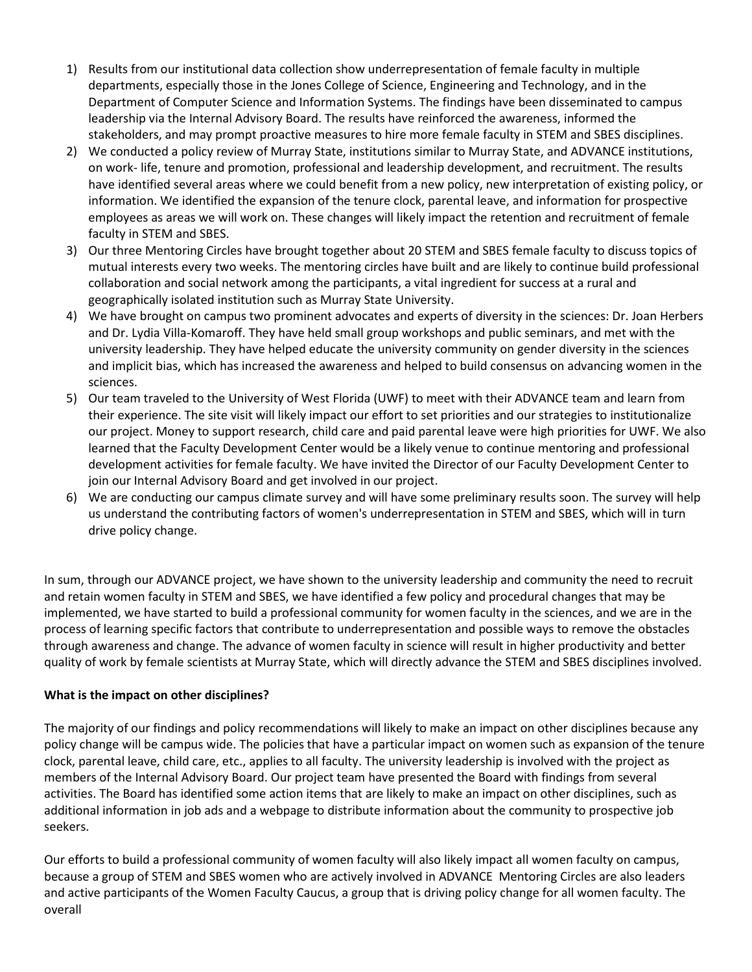- 1) Results from our institutional data collection show underrepresentation of female faculty in multiple departments, especially those in the Jones College of Science, Engineering and Technology, and in the Department of Computer Science and Information Systems. The findings have been disseminated to campus leadership via the Internal Advisory Board. The results have reinforced the awareness, informed the stakeholders, and may prompt proactive measures to hire more female faculty in STEM and SBES disciplines.
- 2) We conducted a policy review of Murray State, institutions similar to Murray State, and ADVANCE institutions, on work- life, tenure and promotion, professional and leadership development, and recruitment. The results have identified several areas where we could benefit from a new policy, new interpretation of existing policy, or information. We identified the expansion of the tenure clock, parental leave, and information for prospective employees as areas we will work on. These changes will likely impact the retention and recruitment of female faculty in STEM and SBES.
- 3) Our three Mentoring Circles have brought together about 20 STEM and SBES female faculty to discuss topics of mutual interests every two weeks. The mentoring circles have built and are likely to continue build professional collaboration and social network among the participants, a vital ingredient for success at a rural and geographically isolated institution such as Murray State University.
- 4) We have brought on campus two prominent advocates and experts of diversity in the sciences: Dr. Joan Herbers and Dr. Lydia Villa-Komaroff. They have held small group workshops and public seminars, and met with the university leadership. They have helped educate the university community on gender diversity in the sciences and implicit bias, which has increased the awareness and helped to build consensus on advancing women in the sciences.
- 5) Our team traveled to the University of West Florida (UWF) to meet with their ADVANCE team and learn from their experience. The site visit will likely impact our effort to set priorities and our strategies to institutionalize our project. Money to support research, child care and paid parental leave were high priorities for UWF. We also learned that the Faculty Development Center would be a likely venue to continue mentoring and professional development activities for female faculty. We have invited the Director of our Faculty Development Center to join our Internal Advisory Board and get involved in our project.
- 6) We are conducting our campus climate survey and will have some preliminary results soon. The survey will help us understand the contributing factors of women's underrepresentation in STEM and SBES, which will in turn drive policy change.

In sum, through our ADVANCE project, we have shown to the university leadership and community the need to recruit and retain women faculty in STEM and SBES, we have identified a few policy and procedural changes that may be implemented, we have started to build a professional community for women faculty in the sciences, and we are in the process of learning specific factors that contribute to underrepresentation and possible ways to remove the obstacles through awareness and change. The advance of women faculty in science will result in higher productivity and better quality of work by female scientists at Murray State, which will directly advance the STEM and SBES disciplines involved.

## **What is the impact on other disciplines?**

The majority of our findings and policy recommendations will likely to make an impact on other disciplines because any policy change will be campus wide. The policies that have a particular impact on women such as expansion of the tenure clock, parental leave, child care, etc., applies to all faculty. The university leadership is involved with the project as members of the Internal Advisory Board. Our project team have presented the Board with findings from several activities. The Board has identified some action items that are likely to make an impact on other disciplines, such as additional information in job ads and a webpage to distribute information about the community to prospective job seekers.

Our efforts to build a professional community of women faculty will also likely impact all women faculty on campus, because a group of STEM and SBES women who are actively involved in ADVANCE Mentoring Circles are also leaders and active participants of the Women Faculty Caucus, a group that is driving policy change for all women faculty. The overall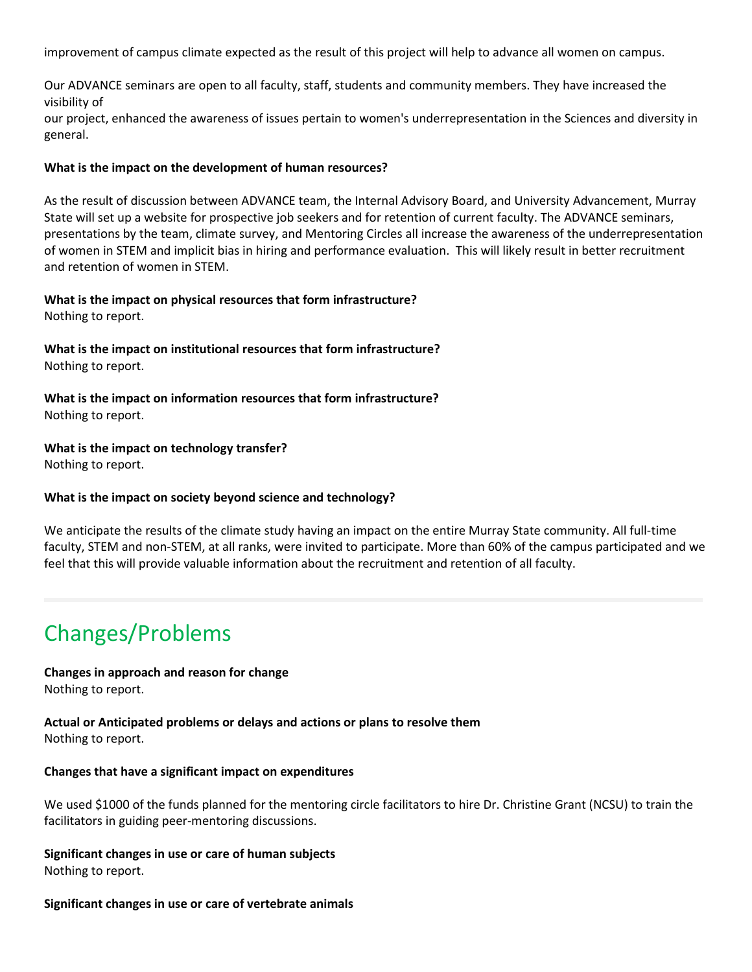improvement of campus climate expected as the result of this project will help to advance all women on campus.

Our ADVANCE seminars are open to all faculty, staff, students and community members. They have increased the visibility of

our project, enhanced the awareness of issues pertain to women's underrepresentation in the Sciences and diversity in general.

#### **What is the impact on the development of human resources?**

As the result of discussion between ADVANCE team, the Internal Advisory Board, and University Advancement, Murray State will set up a website for prospective job seekers and for retention of current faculty. The ADVANCE seminars, presentations by the team, climate survey, and Mentoring Circles all increase the awareness of the underrepresentation of women in STEM and implicit bias in hiring and performance evaluation. This will likely result in better recruitment and retention of women in STEM.

# **What is the impact on physical resources that form infrastructure?**

Nothing to report.

## **What is the impact on institutional resources that form infrastructure?** Nothing to report.

**What is the impact on information resources that form infrastructure?** Nothing to report.

## **What is the impact on technology transfer?**

Nothing to report.

## **What is the impact on society beyond science and technology?**

We anticipate the results of the climate study having an impact on the entire Murray State community. All full-time faculty, STEM and non-STEM, at all ranks, were invited to participate. More than 60% of the campus participated and we feel that this will provide valuable information about the recruitment and retention of all faculty.

# Changes/Problems

#### **Changes in approach and reason for change** Nothing to report.

**Actual or Anticipated problems or delays and actions or plans to resolve them** Nothing to report.

#### **Changes that have a significant impact on expenditures**

We used \$1000 of the funds planned for the mentoring circle facilitators to hire Dr. Christine Grant (NCSU) to train the facilitators in guiding peer-mentoring discussions.

**Significant changes in use or care of human subjects** Nothing to report.

#### **Significant changes in use or care of vertebrate animals**